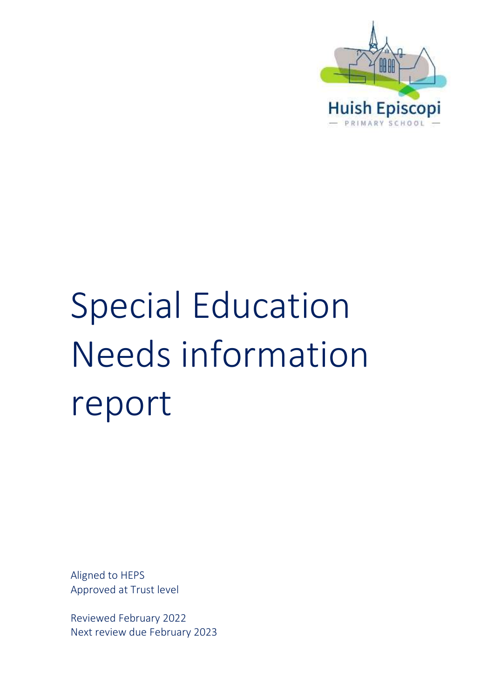

# Special Education Needs information report

Aligned to HEPS Approved at Trust level

Reviewed February 2022 Next review due February 2023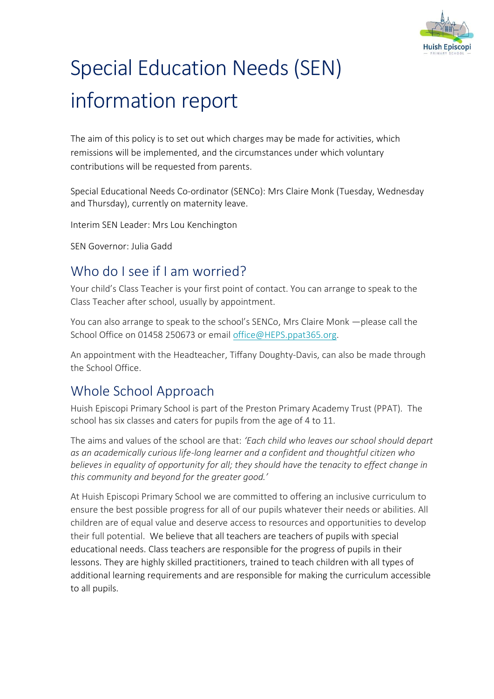

# Special Education Needs (SEN) information report

The aim of this policy is to set out which charges may be made for activities, which remissions will be implemented, and the circumstances under which voluntary contributions will be requested from parents.

Special Educational Needs Co-ordinator (SENCo): Mrs Claire Monk (Tuesday, Wednesday and Thursday), currently on maternity leave.

Interim SEN Leader: Mrs Lou Kenchington

SEN Governor: Julia Gadd

#### Who do I see if I am worried?

Your child's Class Teacher is your first point of contact. You can arrange to speak to the Class Teacher after school, usually by appointment.

You can also arrange to speak to the school's SENCo, Mrs Claire Monk —please call the School Office on 01458 250673 or email [office@HEPS.ppat365.org.](mailto:office@HEPS.ppat365.org)

An appointment with the Headteacher, Tiffany Doughty-Davis, can also be made through the School Office.

#### Whole School Approach

Huish Episcopi Primary School is part of the Preston Primary Academy Trust (PPAT). The school has six classes and caters for pupils from the age of 4 to 11.

The aims and values of the school are that: *'Each child who leaves our school should depart as an academically curious life-long learner and a confident and thoughtful citizen who believes in equality of opportunity for all; they should have the tenacity to effect change in this community and beyond for the greater good.'*

At Huish Episcopi Primary School we are committed to offering an inclusive curriculum to ensure the best possible progress for all of our pupils whatever their needs or abilities. All children are of equal value and deserve access to resources and opportunities to develop their full potential. We believe that all teachers are teachers of pupils with special educational needs. Class teachers are responsible for the progress of pupils in their lessons. They are highly skilled practitioners, trained to teach children with all types of additional learning requirements and are responsible for making the curriculum accessible to all pupils.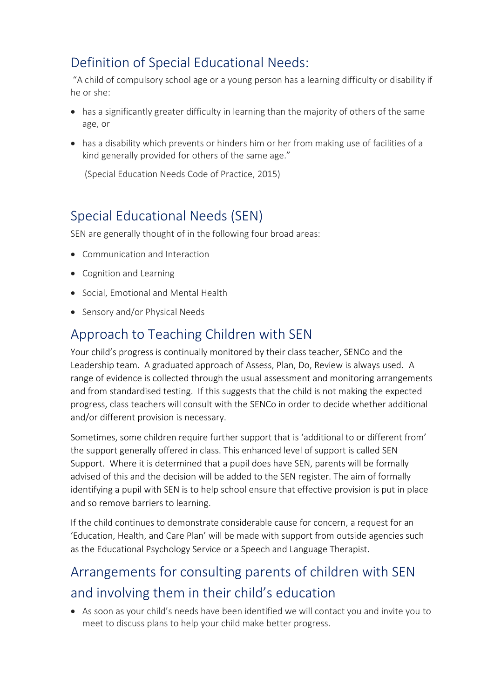## Definition of Special Educational Needs:

"A child of compulsory school age or a young person has a learning difficulty or disability if he or she:

- has a significantly greater difficulty in learning than the majority of others of the same age, or
- has a disability which prevents or hinders him or her from making use of facilities of a kind generally provided for others of the same age."

(Special Education Needs Code of Practice, 2015)

#### Special Educational Needs (SEN)

SEN are generally thought of in the following four broad areas:

- Communication and Interaction
- Cognition and Learning
- Social, Emotional and Mental Health
- Sensory and/or Physical Needs

#### Approach to Teaching Children with SEN

Your child's progress is continually monitored by their class teacher, SENCo and the Leadership team. A graduated approach of Assess, Plan, Do, Review is always used. A range of evidence is collected through the usual assessment and monitoring arrangements and from standardised testing. If this suggests that the child is not making the expected progress, class teachers will consult with the SENCo in order to decide whether additional and/or different provision is necessary.

Sometimes, some children require further support that is 'additional to or different from' the support generally offered in class. This enhanced level of support is called SEN Support. Where it is determined that a pupil does have SEN, parents will be formally advised of this and the decision will be added to the SEN register. The aim of formally identifying a pupil with SEN is to help school ensure that effective provision is put in place and so remove barriers to learning.

If the child continues to demonstrate considerable cause for concern, a request for an 'Education, Health, and Care Plan' will be made with support from outside agencies such as the Educational Psychology Service or a Speech and Language Therapist.

# Arrangements for consulting parents of children with SEN and involving them in their child's education

• As soon as your child's needs have been identified we will contact you and invite you to meet to discuss plans to help your child make better progress.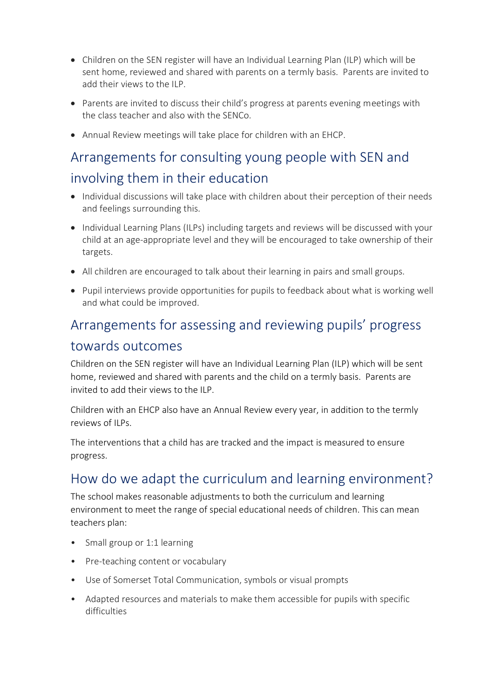- Children on the SEN register will have an Individual Learning Plan (ILP) which will be sent home, reviewed and shared with parents on a termly basis. Parents are invited to add their views to the ILP.
- Parents are invited to discuss their child's progress at parents evening meetings with the class teacher and also with the SENCo.
- Annual Review meetings will take place for children with an EHCP.

# Arrangements for consulting young people with SEN and involving them in their education

- Individual discussions will take place with children about their perception of their needs and feelings surrounding this.
- Individual Learning Plans (ILPs) including targets and reviews will be discussed with your child at an age-appropriate level and they will be encouraged to take ownership of their targets.
- All children are encouraged to talk about their learning in pairs and small groups.
- Pupil interviews provide opportunities for pupils to feedback about what is working well and what could be improved.

# Arrangements for assessing and reviewing pupils' progress towards outcomes

Children on the SEN register will have an Individual Learning Plan (ILP) which will be sent home, reviewed and shared with parents and the child on a termly basis. Parents are invited to add their views to the ILP.

Children with an EHCP also have an Annual Review every year, in addition to the termly reviews of ILPs.

The interventions that a child has are tracked and the impact is measured to ensure progress.

#### How do we adapt the curriculum and learning environment?

The school makes reasonable adjustments to both the curriculum and learning environment to meet the range of special educational needs of children. This can mean teachers plan:

- Small group or 1:1 learning
- Pre-teaching content or vocabulary
- Use of Somerset Total Communication, symbols or visual prompts
- Adapted resources and materials to make them accessible for pupils with specific difficulties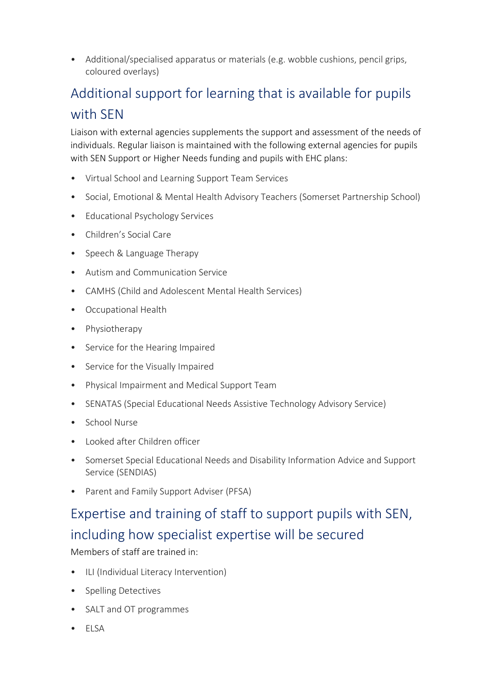• Additional/specialised apparatus or materials (e.g. wobble cushions, pencil grips, coloured overlays)

# Additional support for learning that is available for pupils with SEN

Liaison with external agencies supplements the support and assessment of the needs of individuals. Regular liaison is maintained with the following external agencies for pupils with SEN Support or Higher Needs funding and pupils with EHC plans:

- Virtual School and Learning Support Team Services
- Social, Emotional & Mental Health Advisory Teachers (Somerset Partnership School)
- Educational Psychology Services
- Children's Social Care
- Speech & Language Therapy
- Autism and Communication Service
- CAMHS (Child and Adolescent Mental Health Services)
- Occupational Health
- Physiotherapy
- Service for the Hearing Impaired
- Service for the Visually Impaired
- Physical Impairment and Medical Support Team
- SENATAS (Special Educational Needs Assistive Technology Advisory Service)
- School Nurse
- Looked after Children officer
- Somerset Special Educational Needs and Disability Information Advice and Support Service (SENDIAS)
- Parent and Family Support Adviser (PFSA)

# Expertise and training of staff to support pupils with SEN, including how specialist expertise will be secured

Members of staff are trained in:

- ILI (Individual Literacy Intervention)
- Spelling Detectives
- SALT and OT programmes
- ELSA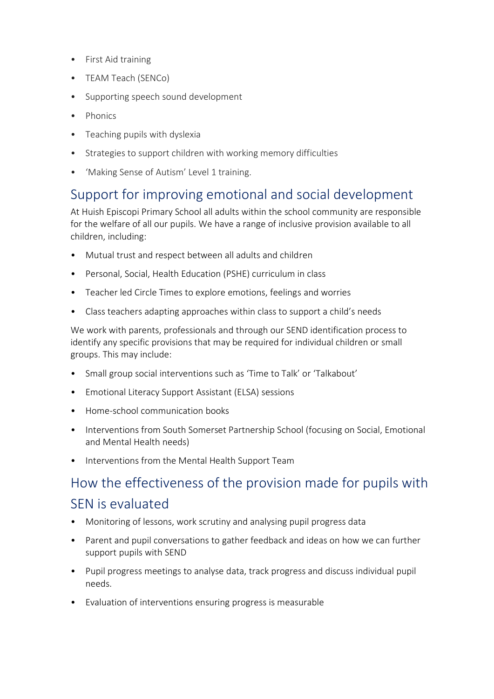- First Aid training
- TEAM Teach (SENCo)
- Supporting speech sound development
- Phonics
- Teaching pupils with dyslexia
- Strategies to support children with working memory difficulties
- 'Making Sense of Autism' Level 1 training.

#### Support for improving emotional and social development

At Huish Episcopi Primary School all adults within the school community are responsible for the welfare of all our pupils. We have a range of inclusive provision available to all children, including:

- Mutual trust and respect between all adults and children
- Personal, Social, Health Education (PSHE) curriculum in class
- Teacher led Circle Times to explore emotions, feelings and worries
- Class teachers adapting approaches within class to support a child's needs

We work with parents, professionals and through our SEND identification process to identify any specific provisions that may be required for individual children or small groups. This may include:

- Small group social interventions such as 'Time to Talk' or 'Talkabout'
- Emotional Literacy Support Assistant (ELSA) sessions
- Home-school communication books
- Interventions from South Somerset Partnership School (focusing on Social, Emotional and Mental Health needs)
- Interventions from the Mental Health Support Team

## How the effectiveness of the provision made for pupils with SEN is evaluated

- Monitoring of lessons, work scrutiny and analysing pupil progress data
- Parent and pupil conversations to gather feedback and ideas on how we can further support pupils with SEND
- Pupil progress meetings to analyse data, track progress and discuss individual pupil needs.
- Evaluation of interventions ensuring progress is measurable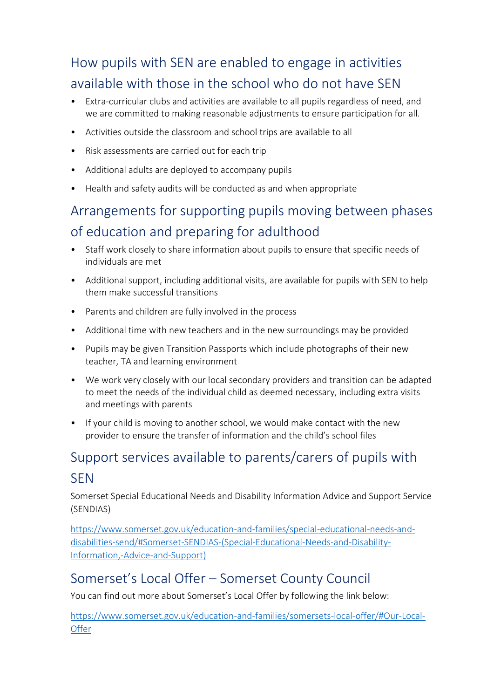# How pupils with SEN are enabled to engage in activities available with those in the school who do not have SEN

- Extra-curricular clubs and activities are available to all pupils regardless of need, and we are committed to making reasonable adjustments to ensure participation for all.
- Activities outside the classroom and school trips are available to all
- Risk assessments are carried out for each trip
- Additional adults are deployed to accompany pupils
- Health and safety audits will be conducted as and when appropriate

# Arrangements for supporting pupils moving between phases of education and preparing for adulthood

- Staff work closely to share information about pupils to ensure that specific needs of individuals are met
- Additional support, including additional visits, are available for pupils with SEN to help them make successful transitions
- Parents and children are fully involved in the process
- Additional time with new teachers and in the new surroundings may be provided
- Pupils may be given Transition Passports which include photographs of their new teacher, TA and learning environment
- We work very closely with our local secondary providers and transition can be adapted to meet the needs of the individual child as deemed necessary, including extra visits and meetings with parents
- If your child is moving to another school, we would make contact with the new provider to ensure the transfer of information and the child's school files

# Support services available to parents/carers of pupils with

#### SEN

Somerset Special Educational Needs and Disability Information Advice and Support Service (SENDIAS)

[https://www.somerset.gov.uk/education-and-families/special-educational-needs-and](https://www.somerset.gov.uk/education-and-families/special-educational-needs-and-disabilities-send/#Somerset-SENDIAS-(Special-Educational-Needs-and-Disability-Information,-Advice-and-Support))[disabilities-send/#Somerset-SENDIAS-\(Special-Educational-Needs-and-Disability-](https://www.somerset.gov.uk/education-and-families/special-educational-needs-and-disabilities-send/#Somerset-SENDIAS-(Special-Educational-Needs-and-Disability-Information,-Advice-and-Support))[Information,-Advice-and-Support\)](https://www.somerset.gov.uk/education-and-families/special-educational-needs-and-disabilities-send/#Somerset-SENDIAS-(Special-Educational-Needs-and-Disability-Information,-Advice-and-Support))

#### Somerset's Local Offer – Somerset County Council

You can find out more about Somerset's Local Offer by following the link below:

[https://www.somerset.gov.uk/education-and-families/somersets-local-offer/#Our-Local-](https://www.somerset.gov.uk/education-and-families/somersets-local-offer/#Our-Local-Offer)**[Offer](https://www.somerset.gov.uk/education-and-families/somersets-local-offer/#Our-Local-Offer)**